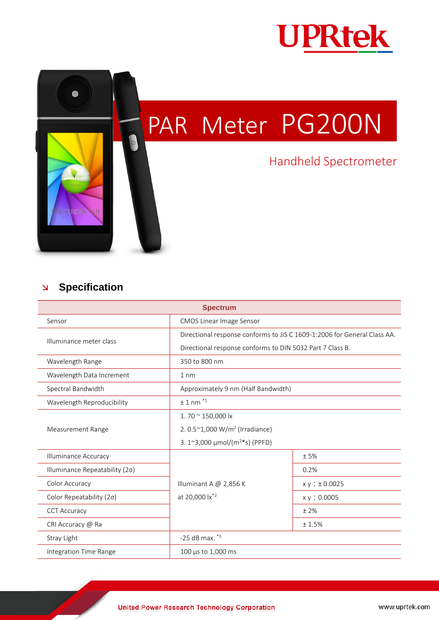

## PAR Meter PG200N

## Handheld Spectrometer

## **Specification**

ROME

ER

Q

| <b>Spectrum</b>                |                                                                          |               |
|--------------------------------|--------------------------------------------------------------------------|---------------|
| Sensor                         | <b>CMOS Linear Image Sensor</b>                                          |               |
| Illuminance meter class        | Directional response conforms to JIS C 1609-1:2006 for General Class AA. |               |
|                                | Directional response conforms to DIN 5032 Part 7 Class B.                |               |
| Wavelength Range               | 350 to 800 nm                                                            |               |
| Wavelength Data Increment      | $1 \text{ nm}$                                                           |               |
| Spectral Bandwidth             | Approximately 9 nm (Half Bandwidth)                                      |               |
| Wavelength Reproducibility     | $± 1$ nm <sup><math>*1</math></sup>                                      |               |
| Measurement Range              | 1.70 $\approx$ 150,000 lx                                                |               |
|                                | 2. $0.5^{\sim}1,000 \text{ W/m}^2$ (Irradiance)                          |               |
|                                | 3. 1~3,000 $\mu$ mol/(m <sup>2*</sup> s) (PPFD)                          |               |
| Illuminance Accuracy           |                                                                          | ±5%           |
| Illuminance Repeatability (2σ) |                                                                          | 0.2%          |
| Color Accuracy                 | Illuminant A $@$ 2,856 K                                                 | x y : ±0.0025 |
| Color Repeatability (2σ)       | at 20,000 lx <sup>*2</sup>                                               | x y : 0.0005  |
| <b>CCT Accuracy</b>            |                                                                          | ±2%           |
| CRI Accuracy @ Ra              |                                                                          | ±1.5%         |
| Stray Light                    | $-25$ dB max. $*3$                                                       |               |
| Integration Time Range         | 100 µs to 1,000 ms                                                       |               |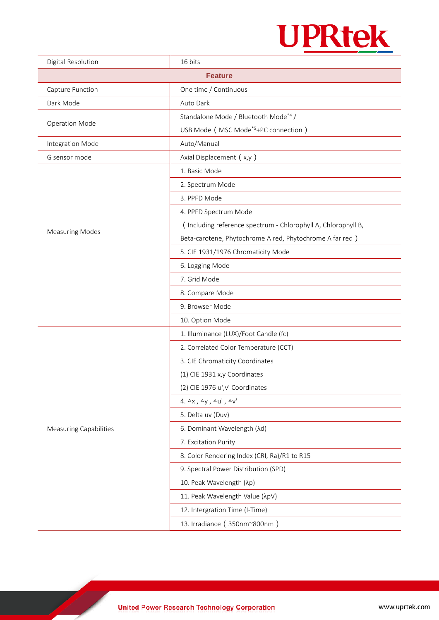

| Digital Resolution            | 16 bits                                                       |  |
|-------------------------------|---------------------------------------------------------------|--|
| <b>Feature</b>                |                                                               |  |
| Capture Function              | One time / Continuous                                         |  |
| Dark Mode                     | Auto Dark                                                     |  |
| <b>Operation Mode</b>         | Standalone Mode / Bluetooth Mode*4 /                          |  |
|                               | USB Mode ( MSC Mode <sup>*5</sup> +PC connection )            |  |
| Integration Mode              | Auto/Manual                                                   |  |
| G sensor mode                 | Axial Displacement (x,y)                                      |  |
| <b>Measuring Modes</b>        | 1. Basic Mode                                                 |  |
|                               | 2. Spectrum Mode                                              |  |
|                               | 3. PPFD Mode                                                  |  |
|                               | 4. PPFD Spectrum Mode                                         |  |
|                               | (Including reference spectrum - Chlorophyll A, Chlorophyll B, |  |
|                               | Beta-carotene, Phytochrome A red, Phytochrome A far red)      |  |
|                               | 5. CIE 1931/1976 Chromaticity Mode                            |  |
|                               | 6. Logging Mode                                               |  |
|                               | 7. Grid Mode                                                  |  |
|                               | 8. Compare Mode                                               |  |
|                               | 9. Browser Mode                                               |  |
|                               | 10. Option Mode                                               |  |
|                               | 1. Illuminance (LUX)/Foot Candle (fc)                         |  |
|                               | 2. Correlated Color Temperature (CCT)                         |  |
| <b>Measuring Capabilities</b> | 3. CIE Chromaticity Coordinates                               |  |
|                               | (1) CIE 1931 x,y Coordinates                                  |  |
|                               | (2) CIE 1976 u', v' Coordinates                               |  |
|                               | 4. $\Delta$ x, $\Delta$ y, $\Delta$ u', $\Delta$ v'           |  |
|                               | 5. Delta uv (Duv)                                             |  |
|                               | 6. Dominant Wavelength (λd)                                   |  |
|                               | 7. Excitation Purity                                          |  |
|                               | 8. Color Rendering Index (CRI, Ra)/R1 to R15                  |  |
|                               | 9. Spectral Power Distribution (SPD)                          |  |
|                               | 10. Peak Wavelength (λp)                                      |  |
|                               | 11. Peak Wavelength Value (λpV)                               |  |
|                               | 12. Intergration Time (I-Time)                                |  |
|                               | 13. Irradiance (350nm~800nm)                                  |  |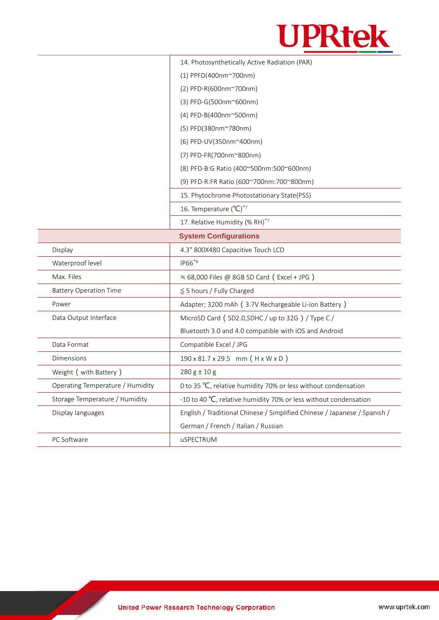

|                                  | 14. Photosynthetically Active Radiation (PAR)                             |  |
|----------------------------------|---------------------------------------------------------------------------|--|
|                                  | (1) PPFD(400nm~700nm)                                                     |  |
|                                  | (2) PFD-R(600nm~700nm)                                                    |  |
|                                  | (3) PFD-G(500nm~600nm)                                                    |  |
|                                  | (4) PFD-B(400nm~500nm)                                                    |  |
|                                  | (5) PFD(380nm~780nm)                                                      |  |
|                                  | (6) PFD-UV(350nm~400nm)                                                   |  |
|                                  | (7) PFD-FR(700nm~800nm)                                                   |  |
|                                  | (8) PFD-B:G Ratio (400~500nm:500~600nm)                                   |  |
|                                  | (9) PFD-R:FR Ratio (600~700nm:700~800nm)                                  |  |
|                                  | 15. Phytochrome Photostationary State(PSS)                                |  |
|                                  | 16. Temperature $(^{\circ}C)^{*7}$                                        |  |
|                                  | 17. Relative Humidity (% RH)*7                                            |  |
| <b>System Configurations</b>     |                                                                           |  |
| Display                          | 4.3" 800X480 Capacitive Touch LCD                                         |  |
| Waterproof level                 | IP66 <sup>*6</sup>                                                        |  |
| Max. Files                       | $\approx$ 68,000 Files @ 8GB SD Card (Excel + JPG)                        |  |
| <b>Battery Operation Time</b>    | $\leq$ 5 hours / Fully Charged                                            |  |
| Power                            | Adapter; 3200 mAh (3.7V Rechargeable Li-ion Battery)                      |  |
| Data Output Interface            | MicroSD Card (SD2.0, SDHC / up to 32G) / Type C/                          |  |
|                                  | Bluetooth 3.0 and 4.0 compatible with iOS and Android                     |  |
| Data Format                      | Compatible Excel / JPG                                                    |  |
| Dimensions                       | 190 x 81.7 x 29.5 mm (H x W x D)                                          |  |
| Weight ( with Battery )          | $280 g \pm 10 g$                                                          |  |
| Operating Temperature / Humidity | 0 to 35 °C, relative humidity 70% or less without condensation            |  |
| Storage Temperature / Humidity   | -10 to 40 °C, relative humidity 70% or less without condensation          |  |
| Display languages                | English / Traditional Chinese / Simplified Chinese / Japanese / Spanish / |  |
|                                  | German / French / Italian / Russian                                       |  |
| PC Software                      | uSPECTRUM                                                                 |  |